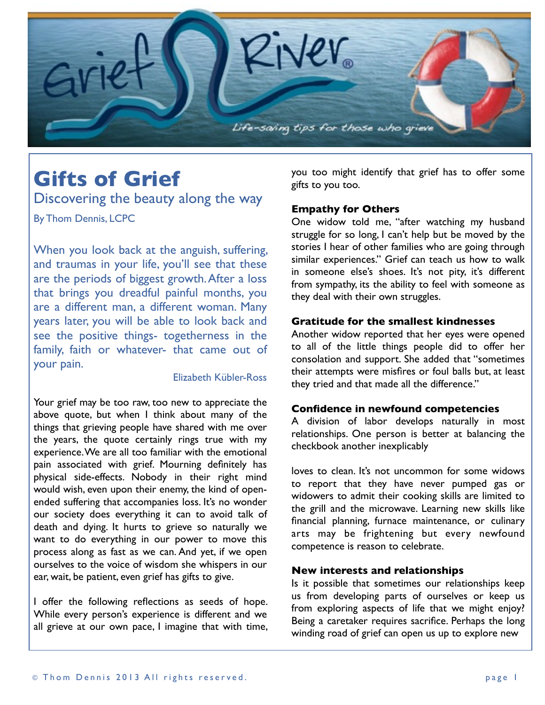

# **Gifts of Grief**

Discovering the beauty along the way By Thom Dennis, LCPC

When you look back at the anguish, suffering, and traumas in your life, you'll see that these are the periods of biggest growth. After a loss that brings you dreadful painful months, you are a different man, a different woman. Many years later, you will be able to look back and see the positive things- togetherness in the family, faith or whatever- that came out of your pain.

# Elizabeth Kübler-Ross

Your grief may be too raw, too new to appreciate the above quote, but when I think about many of the things that grieving people have shared with me over the years, the quote certainly rings true with my experience. We are all too familiar with the emotional pain associated with grief. Mourning definitely has physical side-effects. Nobody in their right mind would wish, even upon their enemy, the kind of openended suffering that accompanies loss. It's no wonder our society does everything it can to avoid talk of death and dying. It hurts to grieve so naturally we want to do everything in our power to move this process along as fast as we can. And yet, if we open ourselves to the voice of wisdom she whispers in our ear, wait, be patient, even grief has gifts to give.

I offer the following reflections as seeds of hope. While every person's experience is different and we all grieve at our own pace, I imagine that with time, you too might identify that grief has to offer some gifts to you too.

#### **Empathy for Others**

One widow told me, "after watching my husband struggle for so long, I can't help but be moved by the stories I hear of other families who are going through similar experiences." Grief can teach us how to walk in someone else's shoes. It's not pity, it's different from sympathy, its the ability to feel with someone as they deal with their own struggles.

### **Gratitude for the smallest kindnesses**

Another widow reported that her eyes were opened to all of the little things people did to offer her consolation and support. She added that "sometimes their attempts were misfires or foul balls but, at least they tried and that made all the difference."

# **Confidence in newfound competencies**

A division of labor develops naturally in most relationships. One person is better at balancing the checkbook another inexplicably

loves to clean. It's not uncommon for some widows to report that they have never pumped gas or widowers to admit their cooking skills are limited to the grill and the microwave. Learning new skills like financial planning, furnace maintenance, or culinary arts may be frightening but every newfound competence is reason to celebrate.

#### **New interests and relationships**

Is it possible that sometimes our relationships keep us from developing parts of ourselves or keep us from exploring aspects of life that we might enjoy? Being a caretaker requires sacrifice. Perhaps the long winding road of grief can open us up to explore new